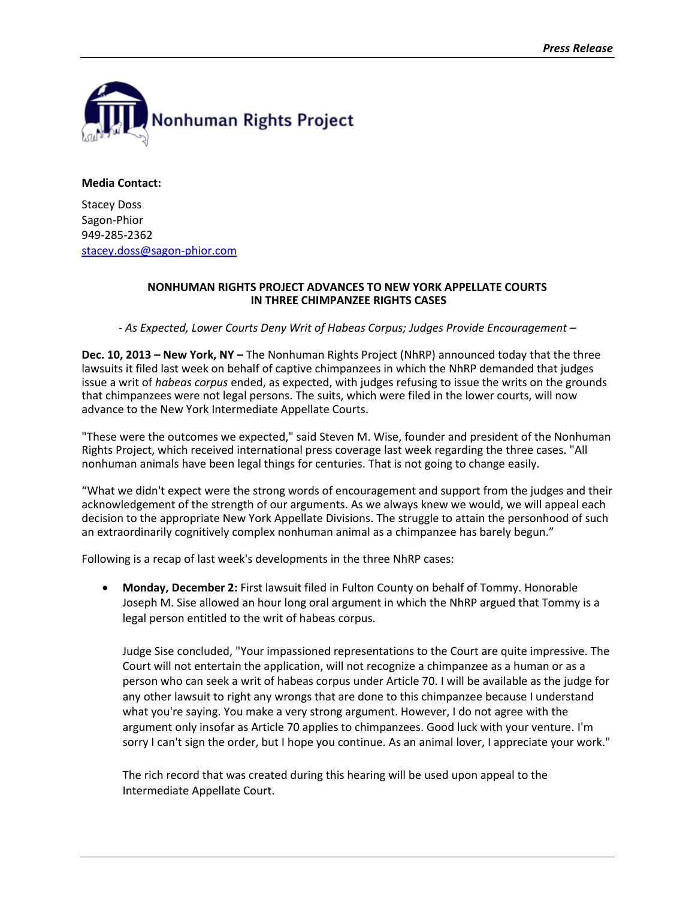

**Media Contact:**

Stacey Doss Sagon-Phior 949-285-2362 [stacey.doss@sagon-phior.com](file:///C:/Users/Michael/Desktop/stacey.doss@sagon-phior.com)

## **NONHUMAN RIGHTS PROJECT ADVANCES TO NEW YORK APPELLATE COURTS IN THREE CHIMPANZEE RIGHTS CASES**

*- As Expected, Lower Courts Deny Writ of Habeas Corpus; Judges Provide Encouragement –*

**Dec. 10, 2013 – New York, NY –** The Nonhuman Rights Project (NhRP) announced today that the three lawsuits it filed last week on behalf of captive chimpanzees in which the NhRP demanded that judges issue a writ of *habeas corpus* ended, as expected, with judges refusing to issue the writs on the grounds that chimpanzees were not legal persons. The suits, which were filed in the lower courts, will now advance to the New York Intermediate Appellate Courts.

"These were the outcomes we expected," said Steven M. Wise, founder and president of the Nonhuman Rights Project, which received international press coverage last week regarding the three cases. "All nonhuman animals have been legal things for centuries. That is not going to change easily.

"What we didn't expect were the strong words of encouragement and support from the judges and their acknowledgement of the strength of our arguments. As we always knew we would, we will appeal each decision to the appropriate New York Appellate Divisions. The struggle to attain the personhood of such an extraordinarily cognitively complex nonhuman animal as a chimpanzee has barely begun."

Following is a recap of last week's developments in the three NhRP cases:

 **Monday, December 2:** First lawsuit filed in Fulton County on behalf of Tommy. Honorable Joseph M. Sise allowed an hour long oral argument in which the NhRP argued that Tommy is a legal person entitled to the writ of habeas corpus.

Judge Sise concluded, "Your impassioned representations to the Court are quite impressive. The Court will not entertain the application, will not recognize a chimpanzee as a human or as a person who can seek a writ of habeas corpus under Article 70. I will be available as the judge for any other lawsuit to right any wrongs that are done to this chimpanzee because I understand what you're saying. You make a very strong argument. However, I do not agree with the argument only insofar as Article 70 applies to chimpanzees. Good luck with your venture. I'm sorry I can't sign the order, but I hope you continue. As an animal lover, I appreciate your work."

The rich record that was created during this hearing will be used upon appeal to the Intermediate Appellate Court.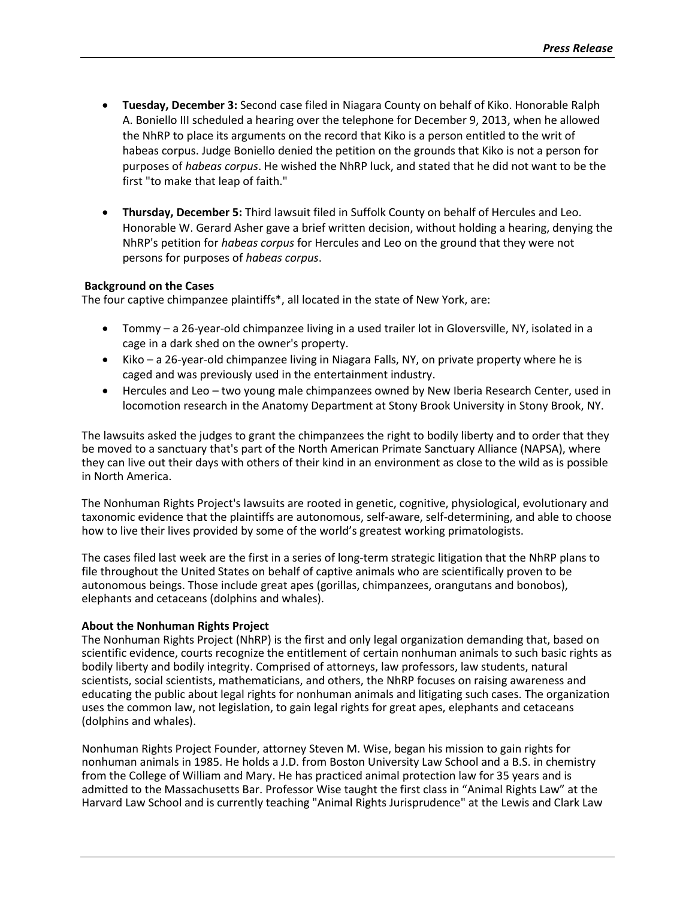- **Tuesday, December 3:** Second case filed in Niagara County on behalf of Kiko. Honorable Ralph A. Boniello III scheduled a hearing over the telephone for December 9, 2013, when he allowed the NhRP to place its arguments on the record that Kiko is a person entitled to the writ of habeas corpus. Judge Boniello denied the petition on the grounds that Kiko is not a person for purposes of *habeas corpus*. He wished the NhRP luck, and stated that he did not want to be the first "to make that leap of faith."
- **Thursday, December 5:** Third lawsuit filed in Suffolk County on behalf of Hercules and Leo. Honorable W. Gerard Asher gave a brief written decision, without holding a hearing, denying the NhRP's petition for *habeas corpus* for Hercules and Leo on the ground that they were not persons for purposes of *habeas corpus*.

## **Background on the Cases**

The four captive chimpanzee plaintiffs\*, all located in the state of New York, are:

- Tommy a 26-year-old chimpanzee living in a used trailer lot in Gloversville, NY, isolated in a cage in a dark shed on the owner's property.
- Kiko a 26-year-old chimpanzee living in Niagara Falls, NY, on private property where he is caged and was previously used in the entertainment industry.
- Hercules and Leo two young male chimpanzees owned by New Iberia Research Center, used in locomotion research in the Anatomy Department at Stony Brook University in Stony Brook, NY.

The lawsuits asked the judges to grant the chimpanzees the right to bodily liberty and to order that they be moved to a sanctuary that's part of the North American Primate Sanctuary Alliance (NAPSA), where they can live out their days with others of their kind in an environment as close to the wild as is possible in North America.

The Nonhuman Rights Project's lawsuits are rooted in genetic, cognitive, physiological, evolutionary and taxonomic evidence that the plaintiffs are autonomous, self-aware, self-determining, and able to choose how to live their lives provided by some of the world's greatest working primatologists.

The cases filed last week are the first in a series of long-term strategic litigation that the NhRP plans to file throughout the United States on behalf of captive animals who are scientifically proven to be autonomous beings. Those include great apes (gorillas, chimpanzees, orangutans and bonobos), elephants and cetaceans (dolphins and whales).

## **About the Nonhuman Rights Project**

The Nonhuman Rights Project (NhRP) is the first and only legal organization demanding that, based on scientific evidence, courts recognize the entitlement of certain nonhuman animals to such basic rights as bodily liberty and bodily integrity. Comprised of attorneys, law professors, law students, natural scientists, social scientists, mathematicians, and others, the NhRP focuses on raising awareness and educating the public about legal rights for nonhuman animals and litigating such cases. The organization uses the common law, not legislation, to gain legal rights for great apes, elephants and cetaceans (dolphins and whales).

Nonhuman Rights Project Founder, attorney Steven M. Wise, began his mission to gain rights for nonhuman animals in 1985. He holds a J.D. from Boston University Law School and a B.S. in chemistry from the College of William and Mary. He has practiced animal protection law for 35 years and is admitted to the Massachusetts Bar. Professor Wise taught the first class in "Animal Rights Law" at the Harvard Law School and is currently teaching "Animal Rights Jurisprudence" at the Lewis and Clark Law